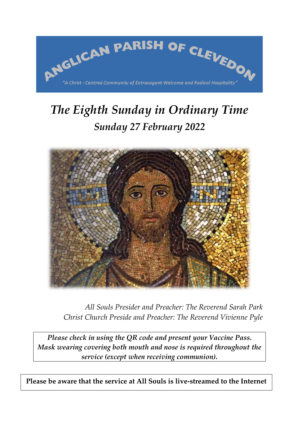

# *The Eighth Sunday in Ordinary Time Sunday 27 February 2022*



*All Souls Presider and Preacher: The Reverend Sarah Park Christ Church Preside and Preacher: The Reverend Vivienne Pyle*

*Please check in using the QR code and present your Vaccine Pass. Mask wearing covering both mouth and nose is required throughout the service (except when receiving communion).*

**Please be aware that the service at All Souls is live-streamed to the Internet**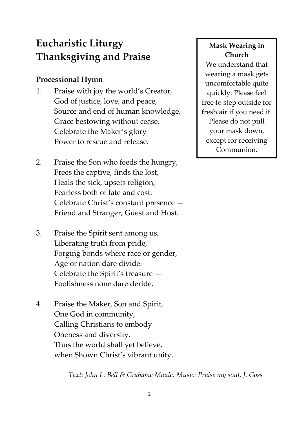## **Eucharistic Liturgy Thanksgiving and Praise**

## **Processional Hymn**

- 1. Praise with joy the world's Creator, God of justice, love, and peace, Source and end of human knowledge, Grace bestowing without cease. Celebrate the Maker's glory Power to rescue and release.
- 2. Praise the Son who feeds the hungry, Frees the captive, finds the lost, Heals the sick, upsets religion, Fearless both of fate and cost. Celebrate Christ's constant presence — Friend and Stranger, Guest and Host.
- 3. Praise the Spirit sent among us, Liberating truth from pride, Forging bonds where race or gender, Age or nation dare divide. Celebrate the Spirit's treasure — Foolishness none dare deride.
- 4. Praise the Maker, Son and Spirit, One God in community, Calling Christians to embody Oneness and diversity. Thus the world shall yet believe, when Shown Christ's vibrant unity.

## *Text: John L. Bell & Grahame Maule, Music: Praise my soul, J. Goss*

## **Mask Wearing in Church**

We understand that wearing a mask gets uncomfortable quite quickly. Please feel free to step outside for fresh air if you need it. Please do not pull your mask down, except for receiving Communion.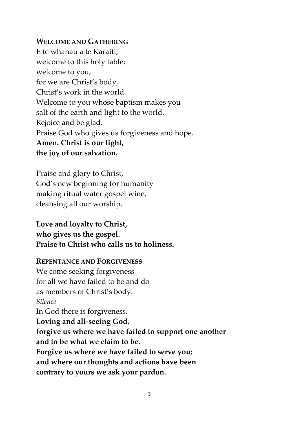#### **WELCOME AND GATHERING**

E te whanau a te Karaiti, welcome to this holy table; welcome to you, for we are Christ's body, Christ's work in the world. Welcome to you whose baptism makes you salt of the earth and light to the world. Rejoice and be glad. Praise God who gives us forgiveness and hope. **Amen. Christ is our light, the joy of our salvation.**

Praise and glory to Christ, God's new beginning for humanity making ritual water gospel wine, cleansing all our worship.

## **Love and loyalty to Christ, who gives us the gospel. Praise to Christ who calls us to holiness.**

#### **REPENTANCE AND FORGIVENESS**

We come seeking forgiveness for all we have failed to be and do as members of Christ's body. *Silence* In God there is forgiveness. **Loving and all-seeing God, forgive us where we have failed to support one another and to be what we claim to be. Forgive us where we have failed to serve you; and where our thoughts and actions have been contrary to yours we ask your pardon.**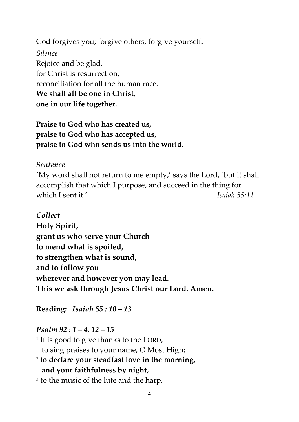God forgives you; forgive others, forgive yourself. *Silence* Rejoice and be glad, for Christ is resurrection, reconciliation for all the human race. **We shall all be one in Christ, one in our life together.**

**Praise to God who has created us, praise to God who has accepted us, praise to God who sends us into the world.**

#### *Sentence*

`My word shall not return to me empty,' says the Lord, `but it shall accomplish that which I purpose, and succeed in the thing for which I sent it.' **Isaiah 55:11** 

*Collect* **Holy Spirit, grant us who serve your Church to mend what is spoiled, to strengthen what is sound, and to follow you wherever and however you may lead. This we ask through Jesus Christ our Lord. Amen.**

**Reading:** *Isaiah 55 : 10 – 13*

#### *Psalm 92 : 1 – 4, 12 – 15*

 $^{\rm 1}$  It is good to give thanks to the LORD, to sing praises to your name, O Most High;

**2 to declare your steadfast love in the morning, and your faithfulness by night,**

 $3$  to the music of the lute and the harp,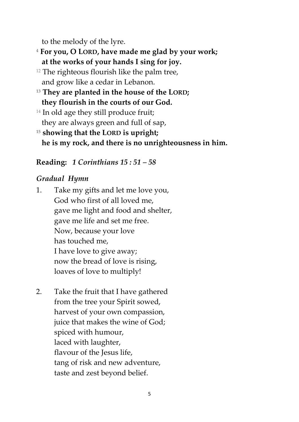to the melody of the lyre.

- **<sup>4</sup> For you, O LORD, have made me glad by your work; at the works of your hands I sing for joy.**
- $12$  The righteous flourish like the palm tree, and grow like a cedar in Lebanon.
- **<sup>13</sup> They are planted in the house of the LORD; they flourish in the courts of our God.**
- <sup>14</sup> In old age they still produce fruit; they are always green and full of sap,
- **<sup>15</sup> showing that the LORD is upright; he is my rock, and there is no unrighteousness in him.**

## **Reading:** *1 Corinthians 15 : 51 – 58*

## *Gradual Hymn*

1. Take my gifts and let me love you, God who first of all loved me, gave me light and food and shelter, gave me life and set me free. Now, because your love has touched me, I have love to give away; now the bread of love is rising, loaves of love to multiply!

2. Take the fruit that I have gathered from the tree your Spirit sowed, harvest of your own compassion, juice that makes the wine of God; spiced with humour, laced with laughter, flavour of the Jesus life, tang of risk and new adventure, taste and zest beyond belief.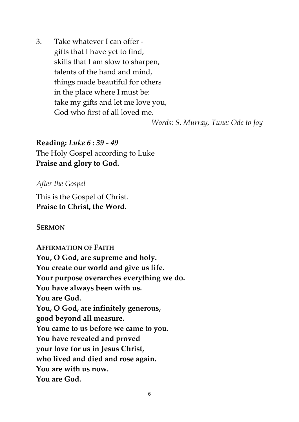3. Take whatever I can offer gifts that I have yet to find, skills that I am slow to sharpen, talents of the hand and mind, things made beautiful for others in the place where I must be: take my gifts and let me love you, God who first of all loved me.

*Words: S. Murray, Tune: Ode to Joy*

**Reading:** *Luke 6 : 39 - 49* The Holy Gospel according to Luke **Praise and glory to God.**

#### *After the Gospel*

This is the Gospel of Christ. **Praise to Christ, the Word.**

#### **SERMON**

# **AFFIRMATION OF FAITH**

**You, O God, are supreme and holy. You create our world and give us life. Your purpose overarches everything we do. You have always been with us. You are God. You, O God, are infinitely generous, good beyond all measure. You came to us before we came to you. You have revealed and proved your love for us in Jesus Christ, who lived and died and rose again. You are with us now. You are God.**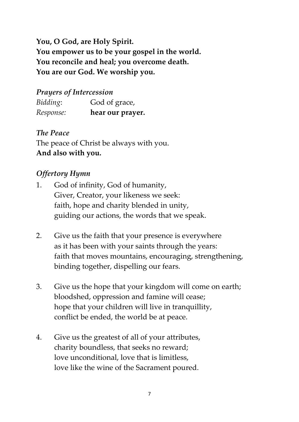**You, O God, are Holy Spirit. You empower us to be your gospel in the world. You reconcile and heal; you overcome death. You are our God. We worship you.**

## *Prayers of Intercession*

| Bidding:  | God of grace,    |
|-----------|------------------|
| Response: | hear our prayer. |

*The Peace*

The peace of Christ be always with you. **And also with you.**

## *Offertory Hymn*

- 1. God of infinity, God of humanity, Giver, Creator, your likeness we seek: faith, hope and charity blended in unity, guiding our actions, the words that we speak.
- 2. Give us the faith that your presence is everywhere as it has been with your saints through the years: faith that moves mountains, encouraging, strengthening, binding together, dispelling our fears.
- 3. Give us the hope that your kingdom will come on earth; bloodshed, oppression and famine will cease; hope that your children will live in tranquillity, conflict be ended, the world be at peace.
- 4. Give us the greatest of all of your attributes, charity boundless, that seeks no reward; love unconditional, love that is limitless, love like the wine of the Sacrament poured.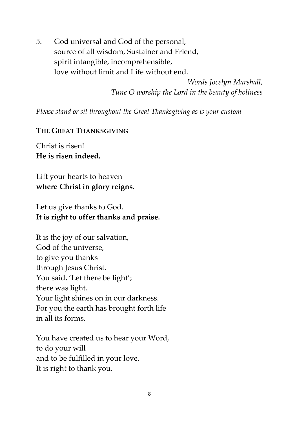5. God universal and God of the personal, source of all wisdom, Sustainer and Friend, spirit intangible, incomprehensible, love without limit and Life without end.

> *Words Jocelyn Marshall, Tune O worship the Lord in the beauty of holiness*

*Please stand or sit throughout the Great Thanksgiving as is your custom*

### **THE GREAT THANKSGIVING**

Christ is risen! **He is risen indeed.**

Lift your hearts to heaven **where Christ in glory reigns.**

Let us give thanks to God. **It is right to offer thanks and praise.**

It is the joy of our salvation, God of the universe, to give you thanks through Jesus Christ. You said, 'Let there be light'; there was light. Your light shines on in our darkness. For you the earth has brought forth life in all its forms.

You have created us to hear your Word, to do your will and to be fulfilled in your love. It is right to thank you.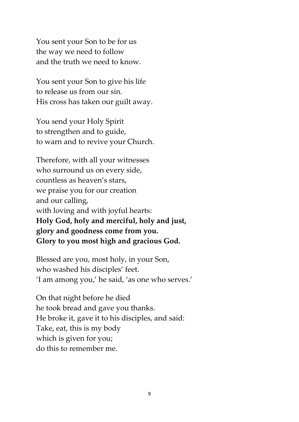You sent your Son to be for us the way we need to follow and the truth we need to know.

You sent your Son to give his life to release us from our sin. His cross has taken our guilt away.

You send your Holy Spirit to strengthen and to guide, to warn and to revive your Church.

Therefore, with all your witnesses who surround us on every side, countless as heaven's stars, we praise you for our creation and our calling, with loving and with joyful hearts: **Holy God, holy and merciful, holy and just, glory and goodness come from you. Glory to you most high and gracious God.**

Blessed are you, most holy, in your Son, who washed his disciples' feet. 'I am among you,' he said, 'as one who serves.'

On that night before he died he took bread and gave you thanks. He broke it, gave it to his disciples, and said: Take, eat, this is my body which is given for you; do this to remember me.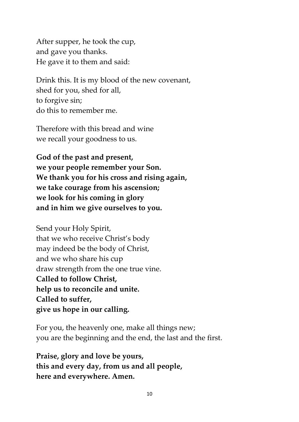After supper, he took the cup, and gave you thanks. He gave it to them and said:

Drink this. It is my blood of the new covenant, shed for you, shed for all, to forgive sin; do this to remember me.

Therefore with this bread and wine we recall your goodness to us.

**God of the past and present, we your people remember your Son. We thank you for his cross and rising again, we take courage from his ascension; we look for his coming in glory and in him we give ourselves to you.**

Send your Holy Spirit, that we who receive Christ's body may indeed be the body of Christ, and we who share his cup draw strength from the one true vine. **Called to follow Christ, help us to reconcile and unite. Called to suffer, give us hope in our calling.**

For you, the heavenly one, make all things new; you are the beginning and the end, the last and the first.

**Praise, glory and love be yours, this and every day, from us and all people, here and everywhere. Amen.**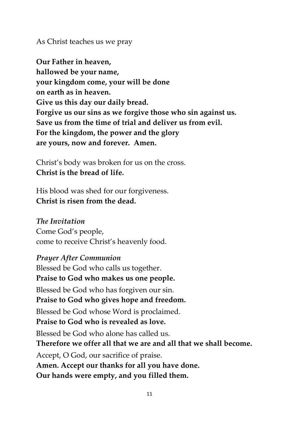#### As Christ teaches us we pray

**Our Father in heaven, hallowed be your name, your kingdom come, your will be done on earth as in heaven. Give us this day our daily bread. Forgive us our sins as we forgive those who sin against us. Save us from the time of trial and deliver us from evil. For the kingdom, the power and the glory are yours, now and forever. Amen.**

Christ's body was broken for us on the cross. **Christ is the bread of life.**

His blood was shed for our forgiveness. **Christ is risen from the dead.**

#### *The Invitation*

Come God's people, come to receive Christ's heavenly food.

#### *Prayer After Communion*

Blessed be God who calls us together. **Praise to God who makes us one people.** Blessed be God who has forgiven our sin. **Praise to God who gives hope and freedom.** Blessed be God whose Word is proclaimed. **Praise to God who is revealed as love.** Blessed be God who alone has called us. **Therefore we offer all that we are and all that we shall become.** Accept, O God, our sacrifice of praise. **Amen. Accept our thanks for all you have done. Our hands were empty, and you filled them.**